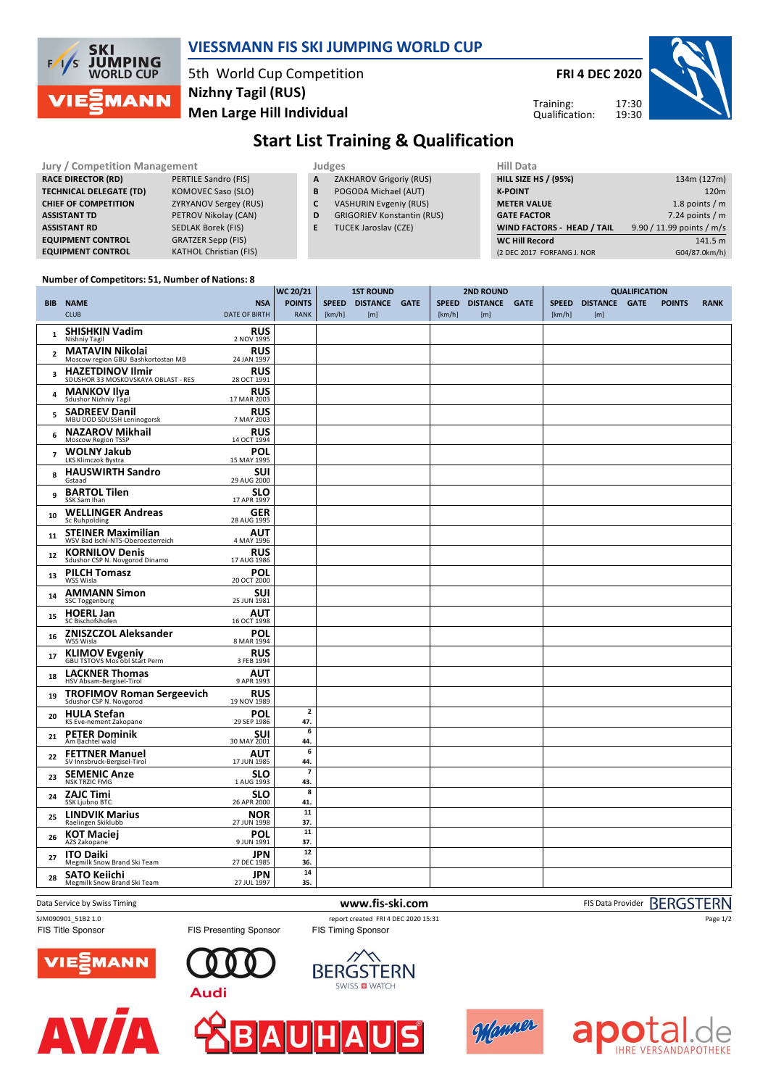

### **VIESSMANN FIS SKI JUMPING WORLD CUP**

5th World Cup Competition **Men Large Hill Individual Nizhny Tagil (RUS)**

**FRI 4 DEC 2020**

Training:



## **Start List Training & Qualification** Qualification:

|                                |                               |    |                                   | <b>Hill Data</b>                  |                           |  |  |  |
|--------------------------------|-------------------------------|----|-----------------------------------|-----------------------------------|---------------------------|--|--|--|
| Jury / Competition Management  |                               |    | <b>Judges</b>                     |                                   |                           |  |  |  |
| <b>RACE DIRECTOR (RD)</b>      | PERTILE Sandro (FIS)          | A  | ZAKHAROV Grigoriy (RUS)           | <b>HILL SIZE HS / (95%)</b>       | 134m (127m)               |  |  |  |
| <b>TECHNICAL DELEGATE (TD)</b> | KOMOVEC Saso (SLO)            | В  | POGODA Michael (AUT)              | <b>K-POINT</b>                    | 120m                      |  |  |  |
| <b>CHIEF OF COMPETITION</b>    | <b>ZYRYANOV Sergey (RUS)</b>  |    | <b>VASHURIN Evgeniy (RUS)</b>     | <b>METER VALUE</b>                | 1.8 points / $m$          |  |  |  |
| <b>ASSISTANT TD</b>            | PETROV Nikolay (CAN)          | D  | <b>GRIGORIEV Konstantin (RUS)</b> | <b>GATE FACTOR</b>                | 7.24 points $/m$          |  |  |  |
| <b>ASSISTANT RD</b>            | SEDLAK Borek (FIS)            | E. | <b>TUCEK Jaroslav (CZE)</b>       | <b>WIND FACTORS - HEAD / TAIL</b> | 9.90 / 11.99 points / m/s |  |  |  |
| <b>EQUIPMENT CONTROL</b>       | <b>GRATZER Sepp (FIS)</b>     |    |                                   | <b>WC Hill Record</b>             | 141.5 m                   |  |  |  |
| <b>EQUIPMENT CONTROL</b>       | <b>KATHOL Christian (FIS)</b> |    |                                   | (2 DEC 2017 FORFANG J. NOR        | G04/87.0km/h)             |  |  |  |

#### **Number of Competitors: 51, Number of Nations: 8**

|                         |                                                                |                                    | <b>WC 20/21</b>                | <b>1ST ROUND</b> |                            | <b>2ND ROUND</b> |        |                            | <b>QUALIFICATION</b> |        |                            |  |               |             |
|-------------------------|----------------------------------------------------------------|------------------------------------|--------------------------------|------------------|----------------------------|------------------|--------|----------------------------|----------------------|--------|----------------------------|--|---------------|-------------|
|                         | <b>BIB NAME</b><br><b>CLUB</b>                                 | <b>NSA</b><br><b>DATE OF BIRTH</b> | <b>POINTS</b><br><b>RANK</b>   | [km/h]           | SPEED DISTANCE GATE<br>[m] |                  | [km/h] | SPEED DISTANCE GATE<br>[m] |                      | [km/h] | SPEED DISTANCE GATE<br>[m] |  | <b>POINTS</b> | <b>RANK</b> |
| $\mathbf{1}$            | <b>SHISHKIN Vadim</b><br>Nishniy Tagil                         | <b>RUS</b><br>2 NOV 1995           |                                |                  |                            |                  |        |                            |                      |        |                            |  |               |             |
| $\overline{2}$          | <b>MATAVIN Nikolai</b><br>Moscow region GBU Bashkortostan MB   | <b>RUS</b><br>24 JAN 1997          |                                |                  |                            |                  |        |                            |                      |        |                            |  |               |             |
| $\overline{\mathbf{3}}$ | <b>HAZETDINOV Ilmir</b><br>SDUSHOR 33 MOSKOVSKAYA OBLAST - RES | <b>RUS</b><br>28 OCT 1991          |                                |                  |                            |                  |        |                            |                      |        |                            |  |               |             |
| 4                       | <b>MANKOV Ilya</b><br>Sdushor Nizhniy Tagil                    | <b>RUS</b><br>17 MAR 2003          |                                |                  |                            |                  |        |                            |                      |        |                            |  |               |             |
| 5                       | <b>SADREEV Danil</b><br>MBU DOD SDUSSH Leninogorsk             | <b>RUS</b><br>7 MAY 2003           |                                |                  |                            |                  |        |                            |                      |        |                            |  |               |             |
| 6                       | <b>NAZAROV Mikhail</b><br>Moscow Region TSSP                   | <b>RUS</b><br>14 OCT 1994          |                                |                  |                            |                  |        |                            |                      |        |                            |  |               |             |
| $\overline{7}$          | <b>WOLNY Jakub</b><br>LKS Klimczok Bystra                      | <b>POL</b><br>15 MAY 1995          |                                |                  |                            |                  |        |                            |                      |        |                            |  |               |             |
| 8                       | <b>HAUSWIRTH Sandro</b><br>Gstaad                              | <b>SUI</b><br>29 AUG 2000          |                                |                  |                            |                  |        |                            |                      |        |                            |  |               |             |
| 9                       | <b>BARTOL Tilen</b><br>SSK Sam Ihan                            | <b>SLO</b><br>17 APR 1997          |                                |                  |                            |                  |        |                            |                      |        |                            |  |               |             |
| 10                      | <b>WELLINGER Andreas</b><br>Sc Ruhpolding                      | <b>GER</b><br>28 AUG 1995          |                                |                  |                            |                  |        |                            |                      |        |                            |  |               |             |
| 11                      | <b>STEINER Maximilian</b><br>WSV Bad Ischl-NTS-Oberoesterreich | <b>AUT</b><br>4 MAY 1996           |                                |                  |                            |                  |        |                            |                      |        |                            |  |               |             |
| 12                      | <b>KORNILOV Denis</b><br>Sdushor CSP N. Novgorod Dinamo        | <b>RUS</b><br>17 AUG 1986          |                                |                  |                            |                  |        |                            |                      |        |                            |  |               |             |
| 13                      | <b>PILCH Tomasz</b><br>WSS Wisla                               | <b>POL</b><br>20 OCT 2000          |                                |                  |                            |                  |        |                            |                      |        |                            |  |               |             |
| 14                      | <b>AMMANN Simon</b><br>SSC Toggenburg                          | <b>SUI</b><br>25 JUN 1981          |                                |                  |                            |                  |        |                            |                      |        |                            |  |               |             |
| 15                      | <b>HOERL Jan</b><br>SC Bischofshofen                           | <b>AUT</b><br>16 OCT 1998          |                                |                  |                            |                  |        |                            |                      |        |                            |  |               |             |
| 16                      | <b>ZNISZCZOL Aleksander</b><br>WSS Wisla                       | <b>POL</b><br>8 MAR 1994           |                                |                  |                            |                  |        |                            |                      |        |                            |  |               |             |
| 17                      | <b>KLIMOV Evgeniy</b><br>GBU TSTOVS Mos obl Start Perm         | <b>RUS</b><br>3 FEB 1994           |                                |                  |                            |                  |        |                            |                      |        |                            |  |               |             |
| 18                      | <b>LACKNER Thomas</b><br>HSV Absam-Bergisel-Tirol              | <b>AUT</b><br>9 APR 1993           |                                |                  |                            |                  |        |                            |                      |        |                            |  |               |             |
| 19                      | <b>TROFIMOV Roman Sergeevich</b><br>Sdushor CSP N. Novgorod    | <b>RUS</b><br>19 NOV 1989          |                                |                  |                            |                  |        |                            |                      |        |                            |  |               |             |
| 20                      | <b>HULA Stefan</b><br>KS Eve-nement Zakopane                   | POL<br>29 SEP 1986                 | $\overline{2}$<br>47.          |                  |                            |                  |        |                            |                      |        |                            |  |               |             |
| 21                      | <b>PETER Dominik</b><br>Am Bachtel wald                        | <b>SUI</b><br>30 MAY 2001          | 6<br>44.                       |                  |                            |                  |        |                            |                      |        |                            |  |               |             |
| 22                      | <b>FETTNER Manuel</b><br>SV Innsbruck-Bergisel-Tirol           | <b>AUT</b><br>17 JUN 1985          | 6<br>44.                       |                  |                            |                  |        |                            |                      |        |                            |  |               |             |
| 23                      | <b>SEMENIC Anze</b><br><b>NSK TRZIC FMG</b>                    | <b>SLO</b><br>1 AUG 1993           | $\overline{\mathbf{z}}$<br>43. |                  |                            |                  |        |                            |                      |        |                            |  |               |             |
| 24                      | <b>ZAJC Timi</b><br>SSK Ljubno BTC                             | <b>SLO</b><br>26 APR 2000          | 8<br>41.                       |                  |                            |                  |        |                            |                      |        |                            |  |               |             |
| 25                      | <b>LINDVIK Marius</b><br>Raelingen Skiklubb                    | <b>NOR</b><br>27 JUN 1998          | 11<br>37.                      |                  |                            |                  |        |                            |                      |        |                            |  |               |             |
| 26                      | <b>KOT Maciej</b><br>AZS Zakopane                              | POL<br>9 JUN 1991                  | ${\bf 11}$<br>37.              |                  |                            |                  |        |                            |                      |        |                            |  |               |             |
| 27                      | <b>ITO Daiki</b><br>Megmilk Snow Brand Ski Team                | <b>JPN</b><br>27 DEC 1985          | $12\,$<br>36.                  |                  |                            |                  |        |                            |                      |        |                            |  |               |             |
| 28                      | <b>SATO Keiichi</b><br>Megmilk Snow Brand Ski Team             | <b>JPN</b><br>27 JUL 1997          | ${\bf 14}$<br>35.              |                  |                            |                  |        |                            |                      |        |                            |  |               |             |
|                         |                                                                |                                    |                                |                  |                            |                  |        |                            |                      |        |                            |  |               |             |

FIS Presenting Sponsor

SJM090901\_51B2 1.0 report created FRI 4 DEC 2020 15:31<br>
FIS Title Sponsor FIS Timing Sponsor FIS Timing Sponsor



Page 1/2

VIEZMANN



**Audi**